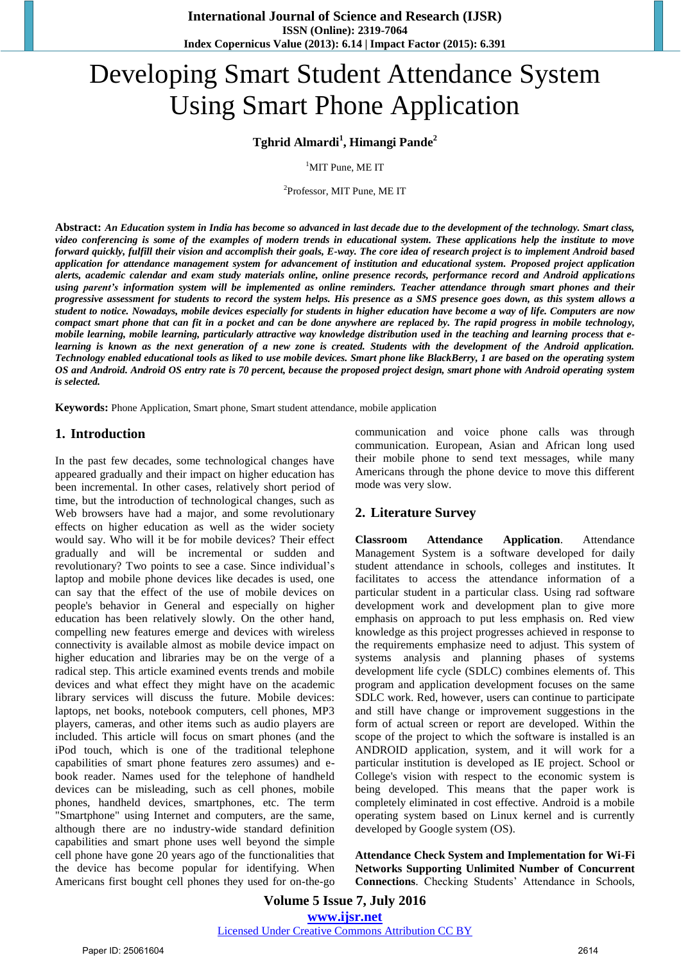# Developing Smart Student Attendance System Using Smart Phone Application

## **Tghrid Almardi<sup>1</sup> , Himangi Pande<sup>2</sup>**

<sup>1</sup>MIT Pune, ME IT

2 Professor, MIT Pune, ME IT

**Abstract:** *An Education system in India has become so advanced in last decade due to the development of the technology. Smart class, video conferencing is some of the examples of modern trends in educational system. These applications help the institute to move forward quickly, fulfill their vision and accomplish their goals, E-way. The core idea of research project is to implement Android based application for attendance management system for advancement of institution and educational system. Proposed project application alerts, academic calendar and exam study materials online, online presence records, performance record and Android applications using parent's information system will be implemented as online reminders. Teacher attendance through smart phones and their progressive assessment for students to record the system helps. His presence as a SMS presence goes down, as this system allows a student to notice. Nowadays, mobile devices especially for students in higher education have become a way of life. Computers are now compact smart phone that can fit in a pocket and can be done anywhere are replaced by. The rapid progress in mobile technology, mobile learning, mobile learning, particularly attractive way knowledge distribution used in the teaching and learning process that elearning is known as the next generation of a new zone is created. Students with the development of the Android application. Technology enabled educational tools as liked to use mobile devices. Smart phone like BlackBerry, 1 are based on the operating system OS and Android. Android OS entry rate is 70 percent, because the proposed project design, smart phone with Android operating system is selected.*

**Keywords:** Phone Application, Smart phone, Smart student attendance, mobile application

#### **1. Introduction**

In the past few decades, some technological changes have appeared gradually and their impact on higher education has been incremental. In other cases, relatively short period of time, but the introduction of technological changes, such as Web browsers have had a major, and some revolutionary effects on higher education as well as the wider society would say. Who will it be for mobile devices? Their effect gradually and will be incremental or sudden and revolutionary? Two points to see a case. Since individual's laptop and mobile phone devices like decades is used, one can say that the effect of the use of mobile devices on people's behavior in General and especially on higher education has been relatively slowly. On the other hand, compelling new features emerge and devices with wireless connectivity is available almost as mobile device impact on higher education and libraries may be on the verge of a radical step. This article examined events trends and mobile devices and what effect they might have on the academic library services will discuss the future. Mobile devices: laptops, net books, notebook computers, cell phones, MP3 players, cameras, and other items such as audio players are included. This article will focus on smart phones (and the iPod touch, which is one of the traditional telephone capabilities of smart phone features zero assumes) and ebook reader. Names used for the telephone of handheld devices can be misleading, such as cell phones, mobile phones, handheld devices, smartphones, etc. The term "Smartphone" using Internet and computers, are the same, although there are no industry-wide standard definition capabilities and smart phone uses well beyond the simple cell phone have gone 20 years ago of the functionalities that the device has become popular for identifying. When Americans first bought cell phones they used for on-the-go communication and voice phone calls was through communication. European, Asian and African long used their mobile phone to send text messages, while many Americans through the phone device to move this different mode was very slow.

### **2. Literature Survey**

**Classroom Attendance Application**. Attendance Management System is a software developed for daily student attendance in schools, colleges and institutes. It facilitates to access the attendance information of a particular student in a particular class. Using rad software development work and development plan to give more emphasis on approach to put less emphasis on. Red view knowledge as this project progresses achieved in response to the requirements emphasize need to adjust. This system of systems analysis and planning phases of systems development life cycle (SDLC) combines elements of. This program and application development focuses on the same SDLC work. Red, however, users can continue to participate and still have change or improvement suggestions in the form of actual screen or report are developed. Within the scope of the project to which the software is installed is an ANDROID application, system, and it will work for a particular institution is developed as IE project. School or College's vision with respect to the economic system is being developed. This means that the paper work is completely eliminated in cost effective. Android is a mobile operating system based on Linux kernel and is currently developed by Google system (OS).

**Attendance Check System and Implementation for Wi-Fi Networks Supporting Unlimited Number of Concurrent Connections**. Checking Students' Attendance in Schools,

**Volume 5 Issue 7, July 2016 www.ijsr.net** Licensed Under Creative Commons Attribution CC BY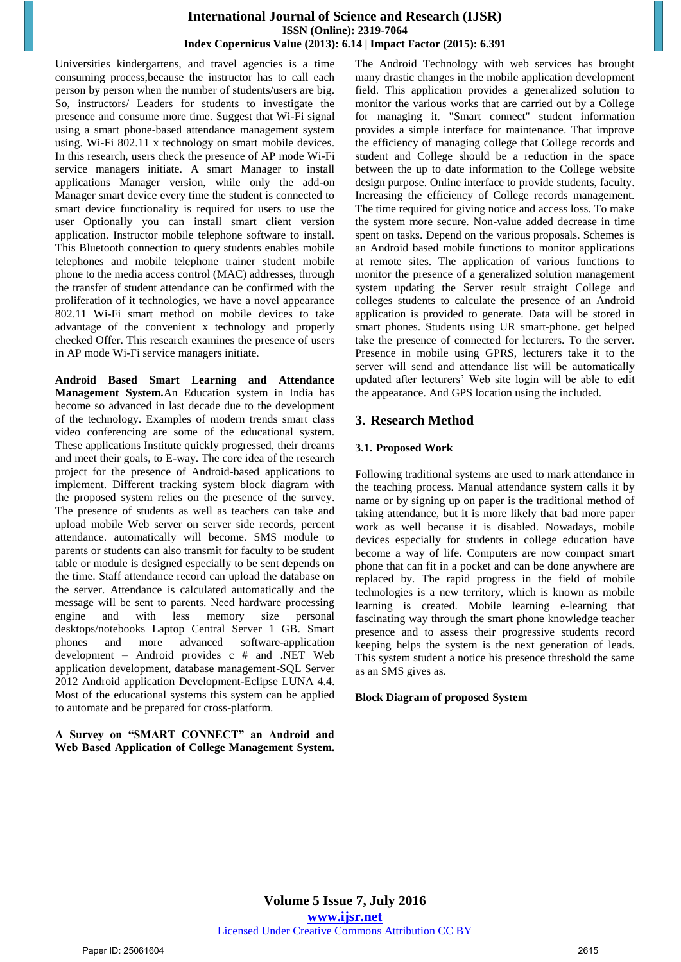#### **International Journal of Science and Research (IJSR) ISSN (Online): 2319-7064 Index Copernicus Value (2013): 6.14 | Impact Factor (2015): 6.391**

Universities kindergartens, and travel agencies is a time consuming process,because the instructor has to call each person by person when the number of students/users are big. So, instructors/ Leaders for students to investigate the presence and consume more time. Suggest that Wi-Fi signal using a smart phone-based attendance management system using. Wi-Fi 802.11 x technology on smart mobile devices. In this research, users check the presence of AP mode Wi-Fi service managers initiate. A smart Manager to install applications Manager version, while only the add-on Manager smart device every time the student is connected to smart device functionality is required for users to use the user Optionally you can install smart client version application. Instructor mobile telephone software to install. This Bluetooth connection to query students enables mobile telephones and mobile telephone trainer student mobile phone to the media access control (MAC) addresses, through the transfer of student attendance can be confirmed with the proliferation of it technologies, we have a novel appearance 802.11 Wi-Fi smart method on mobile devices to take advantage of the convenient x technology and properly checked Offer. This research examines the presence of users in AP mode Wi-Fi service managers initiate.

**Android Based Smart Learning and Attendance Management System.**An Education system in India has become so advanced in last decade due to the development of the technology. Examples of modern trends smart class video conferencing are some of the educational system. These applications Institute quickly progressed, their dreams and meet their goals, to E-way. The core idea of the research project for the presence of Android-based applications to implement. Different tracking system block diagram with the proposed system relies on the presence of the survey. The presence of students as well as teachers can take and upload mobile Web server on server side records, percent attendance. automatically will become. SMS module to parents or students can also transmit for faculty to be student table or module is designed especially to be sent depends on the time. Staff attendance record can upload the database on the server. Attendance is calculated automatically and the message will be sent to parents. Need hardware processing engine and with less memory size personal desktops/notebooks Laptop Central Server 1 GB. Smart phones and more advanced software-application development – Android provides c # and .NET Web application development, database management-SQL Server 2012 Android application Development-Eclipse LUNA 4.4. Most of the educational systems this system can be applied to automate and be prepared for cross-platform.

**A Survey on "SMART CONNECT" an Android and Web Based Application of College Management System.** The Android Technology with web services has brought many drastic changes in the mobile application development field. This application provides a generalized solution to monitor the various works that are carried out by a College for managing it. "Smart connect" student information provides a simple interface for maintenance. That improve the efficiency of managing college that College records and student and College should be a reduction in the space between the up to date information to the College website design purpose. Online interface to provide students, faculty. Increasing the efficiency of College records management. The time required for giving notice and access loss. To make the system more secure. Non-value added decrease in time spent on tasks. Depend on the various proposals. Schemes is an Android based mobile functions to monitor applications at remote sites. The application of various functions to monitor the presence of a generalized solution management system updating the Server result straight College and colleges students to calculate the presence of an Android application is provided to generate. Data will be stored in smart phones. Students using UR smart-phone. get helped take the presence of connected for lecturers. To the server. Presence in mobile using GPRS, lecturers take it to the server will send and attendance list will be automatically updated after lecturers' Web site login will be able to edit the appearance. And GPS location using the included.

## **3. Research Method**

#### **3.1. Proposed Work**

Following traditional systems are used to mark attendance in the teaching process. Manual attendance system calls it by name or by signing up on paper is the traditional method of taking attendance, but it is more likely that bad more paper work as well because it is disabled. Nowadays, mobile devices especially for students in college education have become a way of life. Computers are now compact smart phone that can fit in a pocket and can be done anywhere are replaced by. The rapid progress in the field of mobile technologies is a new territory, which is known as mobile learning is created. Mobile learning e-learning that fascinating way through the smart phone knowledge teacher presence and to assess their progressive students record keeping helps the system is the next generation of leads. This system student a notice his presence threshold the same as an SMS gives as.

#### **Block Diagram of proposed System**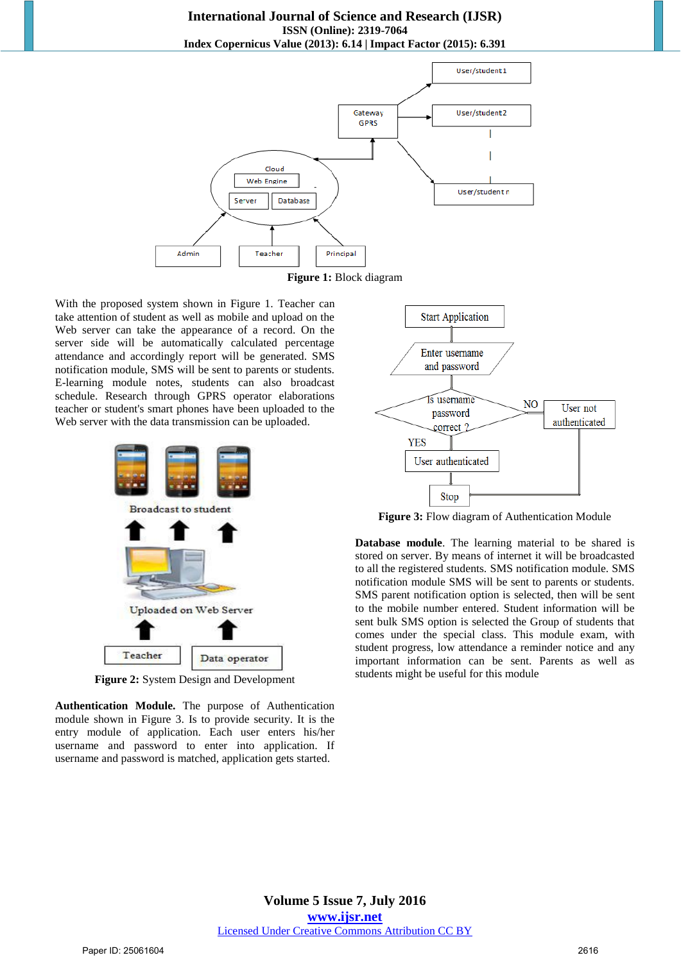



With the proposed system shown in Figure 1. Teacher can take attention of student as well as mobile and upload on the Web server can take the appearance of a record. On the server side will be automatically calculated percentage attendance and accordingly report will be generated. SMS notification module, SMS will be sent to parents or students. E-learning module notes, students can also broadcast schedule. Research through GPRS operator elaborations teacher or student's smart phones have been uploaded to the Web server with the data transmission can be uploaded.



**Figure 2:** System Design and Development

**Authentication Module.** The purpose of Authentication module shown in Figure 3. Is to provide security. It is the entry module of application. Each user enters his/her username and password to enter into application. If username and password is matched, application gets started.



**Figure 3:** Flow diagram of Authentication Module

**Database module**. The learning material to be shared is stored on server. By means of internet it will be broadcasted to all the registered students. SMS notification module. SMS notification module SMS will be sent to parents or students. SMS parent notification option is selected, then will be sent to the mobile number entered. Student information will be sent bulk SMS option is selected the Group of students that comes under the special class. This module exam, with student progress, low attendance a reminder notice and any important information can be sent. Parents as well as students might be useful for this module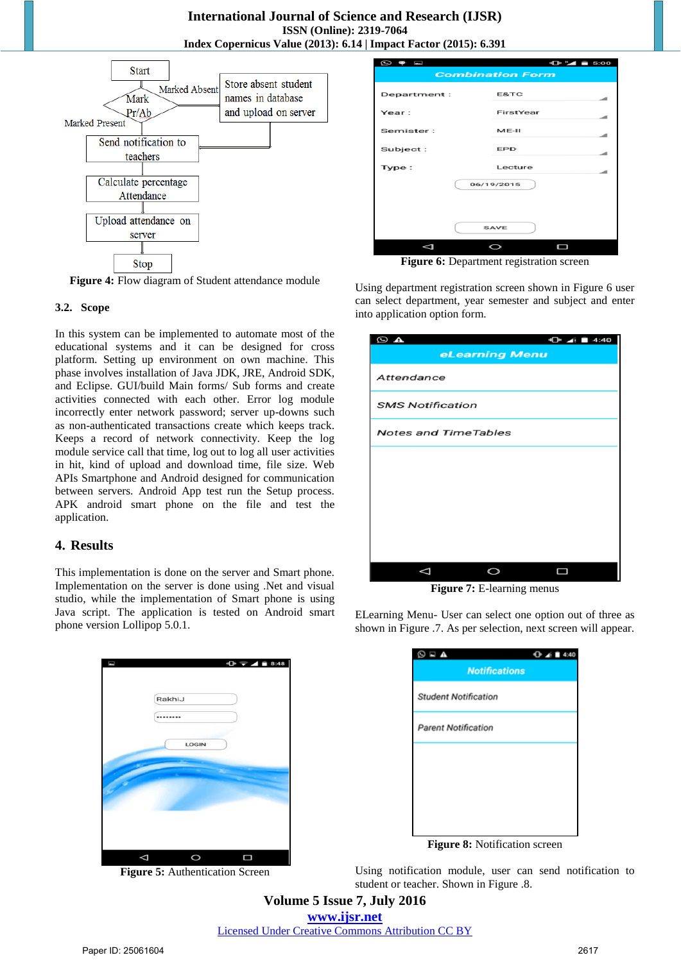

**Figure 4:** Flow diagram of Student attendance module

#### **3.2. Scope**

In this system can be implemented to automate most of the educational systems and it can be designed for cross platform. Setting up environment on own machine. This phase involves installation of Java JDK, JRE, Android SDK, and Eclipse. GUI/build Main forms/ Sub forms and create activities connected with each other. Error log module incorrectly enter network password; server up-downs such as non-authenticated transactions create which keeps track. Keeps a record of network connectivity. Keep the log module service call that time, log out to log all user activities in hit, kind of upload and download time, file size. Web APIs Smartphone and Android designed for communication between servers. Android App test run the Setup process. APK android smart phone on the file and test the application.

### **4. Results**

This implementation is done on the server and Smart phone. Implementation on the server is done using .Net and visual studio, while the implementation of Smart phone is using Java script. The application is tested on Android smart phone version Lollipop 5.0.1.



**Figure 5:** Authentication Screen

| $\circledcirc$ $\bullet$ $\circledcirc$ | $-0.14 = 5:00$ |  |
|-----------------------------------------|----------------|--|
| <b>Combination Form</b>                 |                |  |
|                                         |                |  |
| Department:                             | E&TC           |  |
| Year:                                   | FirstYear      |  |
| Semister:                               | $ME-II$        |  |
| Subject:                                | <b>EPD</b>     |  |
| Type:                                   | Lecture        |  |
| 06/19/2015                              |                |  |
|                                         |                |  |
| <b>SAVE</b>                             |                |  |
|                                         |                |  |
|                                         |                |  |

**Figure 6:** Department registration screen

Using department registration screen shown in Figure 6 user can select department, year semester and subject and enter into application option form.

| $\bigoplus$ 4:40<br>$\circ$ a<br>eLearning Menu |
|-------------------------------------------------|
| Attendance                                      |
| <b>SMS Notification</b>                         |
| <b>Notes and TimeTables</b>                     |
|                                                 |
|                                                 |
|                                                 |
|                                                 |
|                                                 |

**Figure 7:** E-learning menus

ELearning Menu- User can select one option out of three as shown in Figure .7. As per selection, next screen will appear.

| ΕΔ,                         | 4:40 |
|-----------------------------|------|
| <b>Notifications</b>        |      |
| <b>Student Notification</b> |      |
| <b>Parent Notification</b>  |      |
|                             |      |
|                             |      |
|                             |      |
|                             |      |

**Figure 8:** Notification screen

Using notification module, user can send notification to student or teacher. Shown in Figure .8.

**Volume 5 Issue 7, July 2016 www.ijsr.net** Licensed Under Creative Commons Attribution CC BY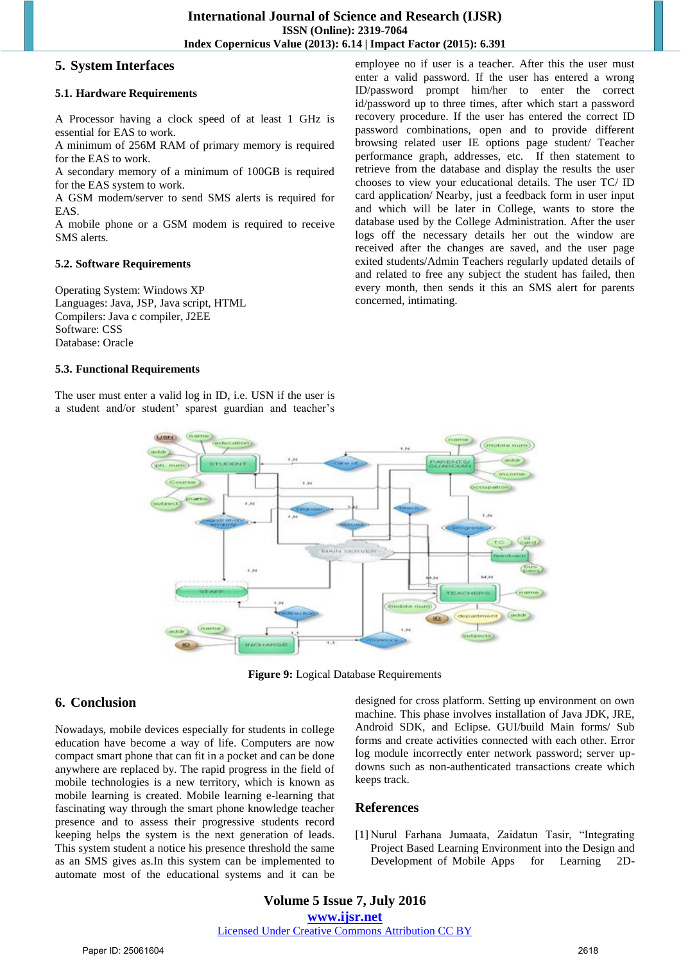### **5. System Interfaces**

#### **5.1. Hardware Requirements**

A Processor having a clock speed of at least 1 GHz is essential for EAS to work.

A minimum of 256M RAM of primary memory is required for the EAS to work.

A secondary memory of a minimum of 100GB is required for the EAS system to work.

A GSM modem/server to send SMS alerts is required for EAS.

A mobile phone or a GSM modem is required to receive SMS alerts.

#### **5.2. Software Requirements**

Operating System: Windows XP Languages: Java, JSP, Java script, HTML Compilers: Java c compiler, J2EE Software: CSS Database: Oracle

#### **5.3. Functional Requirements**

The user must enter a valid log in ID, i.e. USN if the user is a student and/or student' sparest guardian and teacher's employee no if user is a teacher. After this the user must enter a valid password. If the user has entered a wrong ID/password prompt him/her to enter the correct id/password up to three times, after which start a password recovery procedure. If the user has entered the correct ID password combinations, open and to provide different browsing related user IE options page student/ Teacher performance graph, addresses, etc. If then statement to retrieve from the database and display the results the user chooses to view your educational details. The user TC/ ID card application/ Nearby, just a feedback form in user input and which will be later in College, wants to store the database used by the College Administration. After the user logs off the necessary details her out the window are received after the changes are saved, and the user page exited students/Admin Teachers regularly updated details of and related to free any subject the student has failed, then every month, then sends it this an SMS alert for parents concerned, intimating.



**Figure 9:** Logical Database Requirements

## **6. Conclusion**

Nowadays, mobile devices especially for students in college education have become a way of life. Computers are now compact smart phone that can fit in a pocket and can be done anywhere are replaced by. The rapid progress in the field of mobile technologies is a new territory, which is known as mobile learning is created. Mobile learning e-learning that fascinating way through the smart phone knowledge teacher presence and to assess their progressive students record keeping helps the system is the next generation of leads. This system student a notice his presence threshold the same as an SMS gives as.In this system can be implemented to automate most of the educational systems and it can be

designed for cross platform. Setting up environment on own machine. This phase involves installation of Java JDK, JRE, Android SDK, and Eclipse. GUI/build Main forms/ Sub forms and create activities connected with each other. Error log module incorrectly enter network password; server updowns such as non-authenticated transactions create which keeps track.

## **References**

[1] Nurul Farhana Jumaata, Zaidatun Tasir, "Integrating Project Based Learning Environment into the Design and Development of Mobile Apps for Learning 2D-